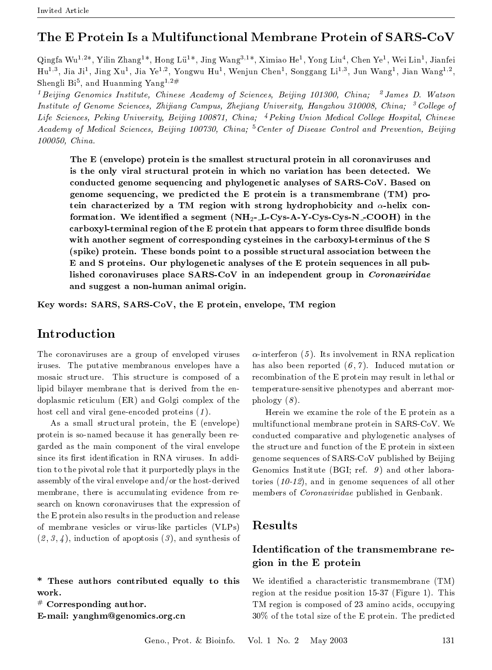### The E Protein Is a Multifunctional Membrane Protein of SARS-CoV

Qingfa Wu<sup>1,2\*</sup>, Yilin Zhang<sup>1\*</sup>, Hong Lü<sup>1\*</sup>, Jing Wang<sup>3,1\*</sup>, Ximiao He<sup>1</sup>, Yong Liu<sup>4</sup>, Chen Ye<sup>1</sup>, Wei Lin<sup>1</sup>, Jianfei Hu<sup>1,3</sup>, Jia Ji<sup>1</sup>, Jing Xu<sup>1</sup>, Jia Ye<sup>1,2</sup>, Yongwu Hu<sup>1</sup>, Wenjun Chen<sup>1</sup>, Songgang Li<sup>1,3</sup>, Jun Wang<sup>1</sup>, Jian Wang<sup>1,2</sup>, Shengli Bi<sup>5</sup>, and Huanming Yang<sup>1,2#</sup>

<sup>1</sup> Beijing Genomics Institute, Chinese Academy of Sciences, Beijing 101300, China; <sup>2</sup> James D. Watson Institute of Genome Sciences, Zhijiang Campus, Zhejiang University, Hangzhou 310008, China; <sup>3</sup> College of Life Sciences, Peking University, Beijing 100871, China; <sup>4</sup> Peking Union Medical College Hospital, Chinese Academy of Medical Sciences, Beijing 100730, China; <sup>5</sup> Center of Disease Control and Prevention, Beijing 100050, China.

The E (envelope) protein is the smallest structural protein in all coronaviruses and is the only viral structural protein in which no variation has been detected. We conducted genome sequencing and phylogenetic analyses of SARS-CoV. Based on genome sequencing, we predicted the E protein is a transmembrane (TM) protein characterized by a TM region with strong hydrophobicity and  $\alpha$ -helix conformation. We identified a segment  $(NH_2-L-Cys-A-Y-Cys-N-COOH)$  in the carboxyl-terminal region of the E protein that appears to form three disulfide bonds with another segment of corresponding cysteines in the carboxyl-terminus of the S (spike) protein. These bonds point to a possible structural association between the E and S proteins. Our phylogenetic analyses of the E protein sequences in all published coronaviruses place SARS-CoV in an independent group in Coronaviridae and suggest a non-human animal origin.

Key words: SARS, SARS-CoV, the E protein, envelope, TM region

#### $\operatorname{Introduction}$

The coronaviruses are a group of enveloped viruses iruses. The putative membranous envelopes have a mosaic structure. This structure is composed of a lipid bilayer membrane that is derived from the endoplasmic reticulum (ER) and Golgi complex of the host cell and viral gene-encoded proteins  $(1)$ .

As a small structural protein, the E (envelope) protein is so-named because it has generally been regarded as the main component of the viral envelope since its first identification in RNA viruses. In addition to the pivotal role that it purportedly plays in the assembly of the viral envelope and/or the host-derived membrane, there is accumulating evidence from research on known coronaviruses that the expression of the E protein also results in the production and release of membrane vesicles or virus-like particles (VLPs)  $(2,3,4)$ , induction of apoptosis  $(3)$ , and synthesis of

\* These authors contributed equally to this work.

 $#$  Corresponding author.

E-mail: yanghm@genomics.org.cn

 $\alpha$ -interferon (5). Its involvement in RNA replication has also been reported  $(6, 7)$ . Induced mutation or recombination of the E protein may result in lethal or temperature-sensitive phenotypes and aberrant mor $phology(8)$ .

Herein we examine the role of the E protein as a multifunctional membrane protein in SARS-CoV. We conducted comparative and phylogenetic analyses of the structure and function of the E protein in sixteen genome sequences of SARS-CoV published by Beijing Genomics Institute (BGI; ref.  $9$ ) and other laboratories  $(10-12)$ , and in genome sequences of all other members of *Coronaviridae* published in Genbank.

#### **Results**

#### Identification of the transmembrane region in the E protein

We identified a characteristic transmembrane (TM) region at the residue position 15-37 (Figure 1). This TM region is composed of 23 amino acids, occupying 30% of the total size of the E protein. The predicted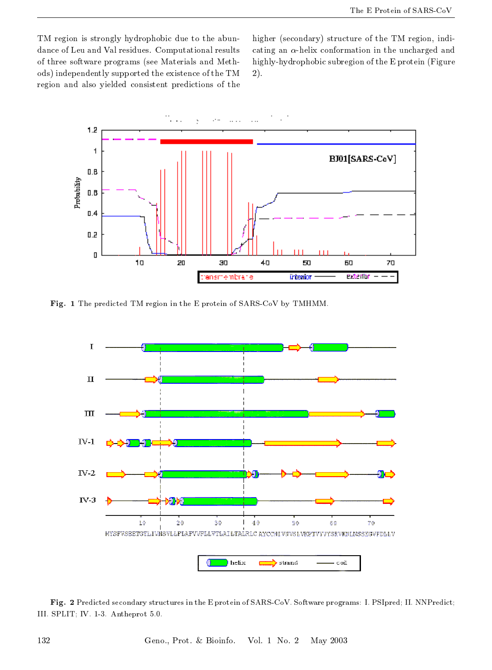TM region is strongly hydrophobic due to the abundance of Leu and Val residues. Computational results of three software programs (see Materials and Methods) independently supported the existence of the TM region and also yielded consistent predictions of the

higher (secondary) structure of the TM region, indicating an  $\alpha$ -helix conformation in the uncharged and highly-hydrophobic subregion of the E protein (Figure  $2).$ 



Fig. 1 The predicted TM region in the E protein of SARS-CoV by TMHMM.



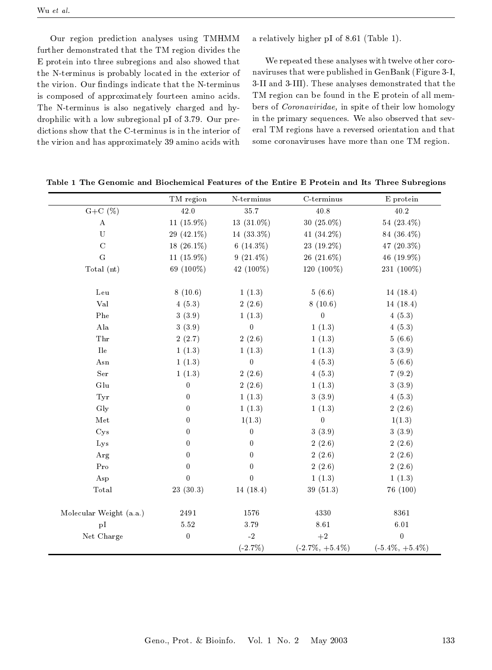Our region prediction analyses using TMHMM further demonstrated that the TM region divides the E protein into three subregions and also showed that the N-terminus is probably located in the exterior of the virion. Our findings indicate that the N-terminus is composed of approximately fourteen amino acids. The N-terminus is also negatively charged and hydrophilic with a low subregional pI of 3.79. Our predictions show that the C-terminus is in the interior of the virion and has approximately 39 amino acids with

a relatively higher pI of 8.61 (Table 1).

We repeated these analyses with twelve other coronaviruses that were published in GenBank (Figure 3-I, 3-II and 3-III). These analyses demonstrated that the TM region can be found in the E protein of all members of *Coronaviridae*, in spite of their low homology in the primary sequences. We also observed that several TM regions have a reversed orientation and that some coronaviruses have more than one TM region.

|                           | TM region        | N-terminus       | $C$ -terminus      | E protein          |
|---------------------------|------------------|------------------|--------------------|--------------------|
| $G+C(\%)$                 | 42.0             | 35.7             | 40.8               | 40.2               |
| $\mathbf A$               | 11 (15.9%)       | 13 (31.0%)       | 30 (25.0%)         | 54 (23.4%)         |
| $\mathbf U$               | 29 (42.1%)       | 14 (33.3%)       | 41 (34.2%)         | 84 (36.4%)         |
| $\mathbf C$               | $18(26.1\%)$     | $6(14.3\%)$      | 23 (19.2%)         | 47 (20.3%)         |
| $\mathbf G$               | 11 (15.9%)       | $9(21.4\%)$      | 26 (21.6%)         | 46 (19.9%)         |
| Total $(nt)$              | 69 (100%)        | 42 (100%)        | 120 (100%)         | 231 (100%)         |
| Leu                       | 8(10.6)          | 1(1.3)           | 5(6.6)             | 14(18.4)           |
| Val                       | 4(5.3)           | 2(2.6)           | 8(10.6)            | 14(18.4)           |
| Phe                       | 3(3.9)           | 1(1.3)           | 0                  | 4(5.3)             |
| $_{\rm Ala}$              | 3(3.9)           | $\boldsymbol{0}$ | 1(1.3)             | 4(5.3)             |
| ${\rm Thr}$               | 2(2.7)           | 2(2.6)           | 1(1.3)             | 5(6.6)             |
| ${\rm I} {\rm l} {\rm e}$ | 1(1.3)           | 1(1.3)           | 1(1.3)             | 3(3.9)             |
| Asn                       | 1(1.3)           | $\boldsymbol{0}$ | 4(5.3)             | 5(6.6)             |
| Ser                       | 1(1.3)           | 2(2.6)           | 4(5.3)             | 7(9.2)             |
| Glu                       | $\bf{0}$         | 2(2.6)           | 1(1.3)             | 3(3.9)             |
| Tyr                       | $\mathbf 0$      | 1(1.3)           | 3(3.9)             | 4(5.3)             |
| Gly                       | 0                | 1(1.3)           | 1(1.3)             | 2(2.6)             |
| Met                       | 0                | 1(1.3)           | $\boldsymbol{0}$   | 1(1.3)             |
| Cys                       | 0                | $\boldsymbol{0}$ | 3(3.9)             | 3(3.9)             |
| Lys                       | $\boldsymbol{0}$ | $\boldsymbol{0}$ | 2(2.6)             | 2(2.6)             |
| Arg                       | $\overline{0}$   | $\boldsymbol{0}$ | 2(2.6)             | 2(2.6)             |
| Pro                       | $\boldsymbol{0}$ | $\boldsymbol{0}$ | 2(2.6)             | 2(2.6)             |
| Asp                       | $\overline{0}$   | $\overline{0}$   | 1(1.3)             | 1(1.3)             |
| Total                     | 23(30.3)         | 14(18.4)         | 39(51.3)           | 76 (100)           |
|                           |                  |                  |                    |                    |
| Molecular Weight (a.a.)   | 2491             | 1576             | 4330               | 8361               |
| pI                        | 5.52             | $3.79\,$         | $8.61\,$           | $6.01\,$           |
| Net Charge                | $\boldsymbol{0}$ | $-2$             | $+2$               | $\overline{0}$     |
|                           |                  | $(-2.7\%)$       | $(-2.7\%, +5.4\%)$ | $(-5.4\%, +5.4\%)$ |

Table 1 The Genomic and Biochemical Features of the Entire E Protein and Its Three Subregions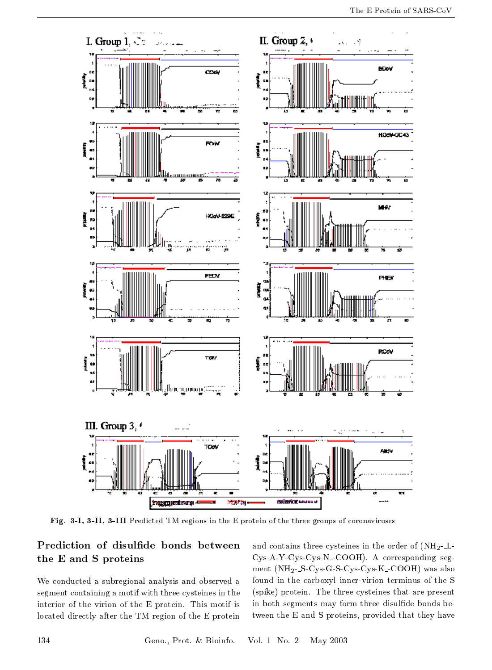

Fig. 3-I, 3-II, 3-III Predicted TM regions in the E protein of the three groups of coronaviruses.

### Prediction of disulfide bonds between the E and S proteins

We conducted a subregional analysis and observed a segment containing a motif with three cysteines in the interior of the virion of the E protein. This motif is located directly after the TM region of the E protein

and contains three cysteines in the order of  $(NH_2-L-$ Cys-A-Y-Cys-Cys-N-COOH). A corresponding segment  $(NH_2-S-Cys-G-S-Cys-Cys-K-COOH)$  was also found in the carboxyl inner-virion terminus of the S (spike) protein. The three cysteines that are present in both segments may form three disulfide bonds between the E and S proteins, provided that they have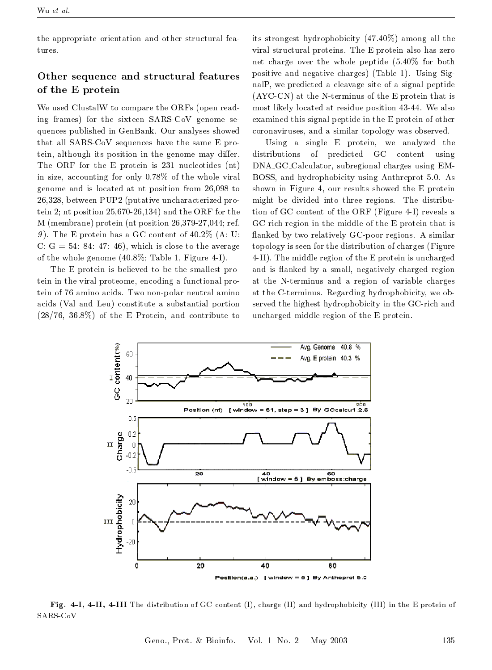the appropriate orientation and other structural features.

#### Other sequence and structural features of the E protein

We used ClustalW to compare the ORFs (open reading frames) for the sixteen SARS-CoV genome sequences published in GenBank. Our analyses showed that all SARS CoV sequences have the same E protein, although its position in the genome may differ. The ORF for the E protein is 231 nucleotides (nt) in size, accounting for only 0.78% of the whole viral genome and is located at nt position from 26,098 to 26,328, between PUP2 (putative uncharacterized protein 2; nt position  $25,670-26,134$  and the ORF for the  $M$  (membrane) protein (nt position 26,379-27,044; ref. 9). The E protein has a GC content of  $40.2\%$  (A: U: C:  $G = 54$ : 84: 47: 46), which is close to the average of the whole genome  $(40.8\%;$  Table 1, Figure 4-I).

The E protein is believed to be the smallest protein in the viral proteome, encoding a functional protein of 76 amino acids. Two non-polar neutral amino acids (Val and Leu) constitute a substantial portion  $(28/76, 36.8\%)$  of the E Protein, and contribute to

its strongest hydrophobicity (47.40%) among all the viral structural proteins. The E protein also has zero net charge over the whole peptide  $(5.40\%$  for both positive and negative charges) (Table 1). Using SignalP, we predicted a cleavage site of a signal peptide (AYC-CN) at the N-terminus of the E protein that is most likely located at residue position 43-44. We also examined this signal peptide in the E protein of other coronaviruses, and a similar topology was observed.

Using a single E protein, we analyzed the  $_{\rm predicted}$ GC content using distributions of DNA\_GC\_Calculator, subregional charges using EM-BOSS, and hydrophobicity using Anthreprot 5.0. As shown in Figure 4, our results showed the E protein might be divided into three regions. The distribution of GC content of the ORF (Figure 4-I) reveals a GC-rich region in the middle of the E protein that is flanked by two relatively GC-poor regions. A similar topology is seen for the distribution of charges (Figure 4-II). The middle region of the E protein is uncharged and is flanked by a small, negatively charged region at the N-terminus and a region of variable charges at the C-terminus. Regarding hydrophobicity, we observed the highest hydrophobicity in the GC-rich and uncharged middle region of the E protein.



Fig. 4-I, 4-II, 4-III The distribution of GC content (I), charge (II) and hydrophobicity (III) in the E protein of SARS CoV.

Geno., Prot. & Bioinfo. Vol. 1 No. 2 May 2003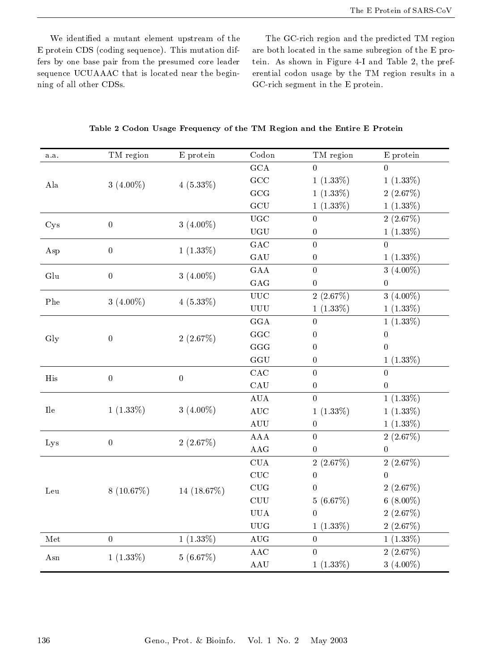We identified a mutant element upstream of the E protein CDS (coding sequence). This mutation differs by one base pair from the presumed core leader sequence UCUAAAC that is located near the beginning of all other CDSs.

The GC-rich region and the predicted TM region are both located in the same subregion of the E protein. As shown in Figure 4-I and Table 2, the preferential codon usage by the TM region results in a  $\operatorname{GC}\nolimits$  rich segment in the  $\operatorname{E}\nolimits$  protein.

|  | Table 2 Codon Usage Frequency of the TM Region and the Entire E Protein |  |  |  |  |
|--|-------------------------------------------------------------------------|--|--|--|--|
|--|-------------------------------------------------------------------------|--|--|--|--|

| a a          | TM region        | E protein      | Codon                                                                                                    | TM region                                                                                                                                                                                                                                                                                                                                                                                                                                                                                                                                                                                                                                                                                                                                                                                                                                                                                            | E protein   |
|--------------|------------------|----------------|----------------------------------------------------------------------------------------------------------|------------------------------------------------------------------------------------------------------------------------------------------------------------------------------------------------------------------------------------------------------------------------------------------------------------------------------------------------------------------------------------------------------------------------------------------------------------------------------------------------------------------------------------------------------------------------------------------------------------------------------------------------------------------------------------------------------------------------------------------------------------------------------------------------------------------------------------------------------------------------------------------------------|-------------|
|              |                  |                | $_{\mathrm{GCA}}$                                                                                        | $\Omega$                                                                                                                                                                                                                                                                                                                                                                                                                                                                                                                                                                                                                                                                                                                                                                                                                                                                                             | $\Omega$    |
| $_{\rm Ala}$ | 3 $(4.00\%)$     | $4(5.33\%)$    | GCC                                                                                                      | $1(1.33\%)$                                                                                                                                                                                                                                                                                                                                                                                                                                                                                                                                                                                                                                                                                                                                                                                                                                                                                          | $1(1.33\%)$ |
|              |                  |                | GCG                                                                                                      | $1(1.33\%)$                                                                                                                                                                                                                                                                                                                                                                                                                                                                                                                                                                                                                                                                                                                                                                                                                                                                                          | 2(2.67%)    |
|              |                  |                | $\rm GCU$                                                                                                | $1(1.33\%)$<br>$1(1.33\%)$<br>2(2.67%)<br>$\overline{0}$<br>$1(1.33\%)$<br>$\boldsymbol{0}$<br>$\Omega$<br>$\overline{0}$<br>$1(1.33\%)$<br>0<br>3 $(4.00\%)$<br>$\boldsymbol{0}$<br>$\boldsymbol{0}$<br>$\boldsymbol{0}$<br>$3(4.00\%)$<br>2(2.67%)<br>$1(1.33\%)$<br>$1(1.33\%)$<br>$1(1.33\%)$<br>$\Omega$<br>0<br>0<br>$\overline{0}$<br>$\boldsymbol{0}$<br>$1(1.33\%)$<br>0<br>$\overline{0}$<br>$\overline{0}$<br>$\boldsymbol{0}$<br>$\boldsymbol{0}$<br>$1(1.33\%)$<br>$\overline{0}$<br>$1(1.33\%)$<br>$1(1.33\%)$<br>$\boldsymbol{0}$<br>$1(1.33\%)$<br>$\overline{0}$<br>2(2.67%)<br>$\boldsymbol{0}$<br>0<br>2(2.67%)<br>2(2.67%)<br>$\overline{0}$<br>$\boldsymbol{0}$<br>2(2.67%)<br>$\overline{0}$<br>$6(8.00\%)$<br>5(6.67%)<br>2(2.67%)<br>$\overline{0}$<br>$1(1.33\%)$<br>2(2.67%)<br>$1(1.33\%)$<br>$\overline{0}$<br>$\overline{0}$<br>2(2.67%)<br>$1(1.33\%)$<br>3 $(4.00\%)$ |             |
|              | $\boldsymbol{0}$ | 3 $(4.00\%)$   | UGC                                                                                                      |                                                                                                                                                                                                                                                                                                                                                                                                                                                                                                                                                                                                                                                                                                                                                                                                                                                                                                      |             |
| Cys          |                  |                | UGU                                                                                                      |                                                                                                                                                                                                                                                                                                                                                                                                                                                                                                                                                                                                                                                                                                                                                                                                                                                                                                      |             |
| Asp          | $\boldsymbol{0}$ | $1(1.33\%)$    | GAC<br>GAU<br>GAA<br>GAG<br>$_{\rm UUC}$<br>${\rm U}{\rm U}{\rm U}$<br>GGA<br>GGC<br>GGG<br>$_{\rm GGU}$ |                                                                                                                                                                                                                                                                                                                                                                                                                                                                                                                                                                                                                                                                                                                                                                                                                                                                                                      |             |
|              |                  |                |                                                                                                          |                                                                                                                                                                                                                                                                                                                                                                                                                                                                                                                                                                                                                                                                                                                                                                                                                                                                                                      |             |
| Glu          | $\boldsymbol{0}$ | 3 $(4.00\%)$   |                                                                                                          |                                                                                                                                                                                                                                                                                                                                                                                                                                                                                                                                                                                                                                                                                                                                                                                                                                                                                                      |             |
|              |                  |                |                                                                                                          |                                                                                                                                                                                                                                                                                                                                                                                                                                                                                                                                                                                                                                                                                                                                                                                                                                                                                                      |             |
| Phe          | 3 $(4.00\%)$     | $4(5.33\%)$    |                                                                                                          |                                                                                                                                                                                                                                                                                                                                                                                                                                                                                                                                                                                                                                                                                                                                                                                                                                                                                                      |             |
|              |                  |                |                                                                                                          |                                                                                                                                                                                                                                                                                                                                                                                                                                                                                                                                                                                                                                                                                                                                                                                                                                                                                                      |             |
|              |                  |                |                                                                                                          |                                                                                                                                                                                                                                                                                                                                                                                                                                                                                                                                                                                                                                                                                                                                                                                                                                                                                                      |             |
| Gly          | $\boldsymbol{0}$ | 2(2.67%)       |                                                                                                          |                                                                                                                                                                                                                                                                                                                                                                                                                                                                                                                                                                                                                                                                                                                                                                                                                                                                                                      |             |
|              |                  |                |                                                                                                          |                                                                                                                                                                                                                                                                                                                                                                                                                                                                                                                                                                                                                                                                                                                                                                                                                                                                                                      |             |
|              |                  |                |                                                                                                          |                                                                                                                                                                                                                                                                                                                                                                                                                                                                                                                                                                                                                                                                                                                                                                                                                                                                                                      |             |
| His          | $\overline{0}$   | $\overline{0}$ | CAC                                                                                                      |                                                                                                                                                                                                                                                                                                                                                                                                                                                                                                                                                                                                                                                                                                                                                                                                                                                                                                      |             |
|              |                  |                | CAU                                                                                                      |                                                                                                                                                                                                                                                                                                                                                                                                                                                                                                                                                                                                                                                                                                                                                                                                                                                                                                      |             |
|              |                  |                | AUA                                                                                                      |                                                                                                                                                                                                                                                                                                                                                                                                                                                                                                                                                                                                                                                                                                                                                                                                                                                                                                      |             |
| $\rm{I}$     | $1(1.33\%)$      | 3 $(4.00\%)$   | AUC                                                                                                      |                                                                                                                                                                                                                                                                                                                                                                                                                                                                                                                                                                                                                                                                                                                                                                                                                                                                                                      |             |
|              |                  |                | $\mathop{\rm {AUU}}$                                                                                     |                                                                                                                                                                                                                                                                                                                                                                                                                                                                                                                                                                                                                                                                                                                                                                                                                                                                                                      |             |
| Lys          | $\boldsymbol{0}$ | 2(2.67%)       | AAA                                                                                                      |                                                                                                                                                                                                                                                                                                                                                                                                                                                                                                                                                                                                                                                                                                                                                                                                                                                                                                      |             |
|              |                  |                | AAG                                                                                                      |                                                                                                                                                                                                                                                                                                                                                                                                                                                                                                                                                                                                                                                                                                                                                                                                                                                                                                      |             |
|              |                  |                | CUA                                                                                                      |                                                                                                                                                                                                                                                                                                                                                                                                                                                                                                                                                                                                                                                                                                                                                                                                                                                                                                      |             |
|              |                  |                | CUC                                                                                                      |                                                                                                                                                                                                                                                                                                                                                                                                                                                                                                                                                                                                                                                                                                                                                                                                                                                                                                      |             |
| ${\it Leu}$  | $8(10.67\%)$     | $14(18.67\%)$  | CUG                                                                                                      |                                                                                                                                                                                                                                                                                                                                                                                                                                                                                                                                                                                                                                                                                                                                                                                                                                                                                                      |             |
|              |                  |                | ${\rm CUU}$                                                                                              |                                                                                                                                                                                                                                                                                                                                                                                                                                                                                                                                                                                                                                                                                                                                                                                                                                                                                                      |             |
|              |                  |                | <b>UUA</b>                                                                                               |                                                                                                                                                                                                                                                                                                                                                                                                                                                                                                                                                                                                                                                                                                                                                                                                                                                                                                      |             |
|              |                  |                | $\mathbf{U}\mathbf{U}\mathbf{G}$                                                                         |                                                                                                                                                                                                                                                                                                                                                                                                                                                                                                                                                                                                                                                                                                                                                                                                                                                                                                      |             |
| Met          | $\overline{0}$   | $1(1.33\%)$    | $\,\mathrm{AUG}$                                                                                         |                                                                                                                                                                                                                                                                                                                                                                                                                                                                                                                                                                                                                                                                                                                                                                                                                                                                                                      |             |
| Asn          | $1(1.33\%)$      | 5(6.67%)       | AAC                                                                                                      |                                                                                                                                                                                                                                                                                                                                                                                                                                                                                                                                                                                                                                                                                                                                                                                                                                                                                                      |             |
|              |                  |                | AAU                                                                                                      |                                                                                                                                                                                                                                                                                                                                                                                                                                                                                                                                                                                                                                                                                                                                                                                                                                                                                                      |             |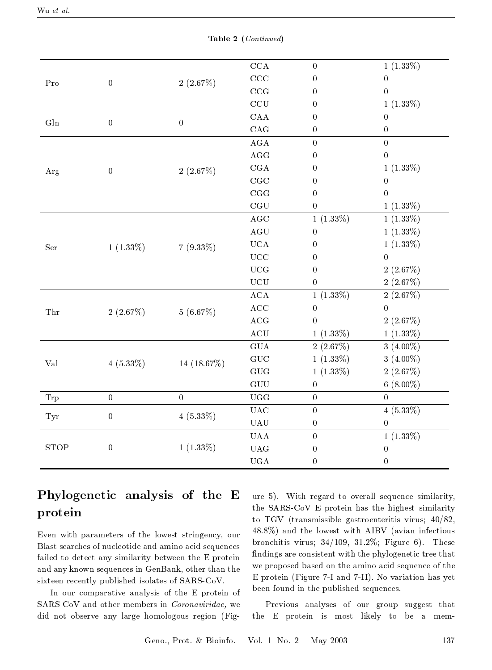|               |                                                                                                                                                                                                                                                                                                                                                                                                                                                                                                                                                                                                                                                                                                                                                                                                                                                                                                                                                                                                                                                                                                                                                                                                  |                                                 | $_{\rm CCA}$ | $\boldsymbol{0}$ | $1(1.33\%)$      |
|---------------|--------------------------------------------------------------------------------------------------------------------------------------------------------------------------------------------------------------------------------------------------------------------------------------------------------------------------------------------------------------------------------------------------------------------------------------------------------------------------------------------------------------------------------------------------------------------------------------------------------------------------------------------------------------------------------------------------------------------------------------------------------------------------------------------------------------------------------------------------------------------------------------------------------------------------------------------------------------------------------------------------------------------------------------------------------------------------------------------------------------------------------------------------------------------------------------------------|-------------------------------------------------|--------------|------------------|------------------|
| Pro           | $_{\rm CCC}$<br>$\boldsymbol{0}$<br>2(2.67%)<br>$\boldsymbol{0}$<br>$_{\rm CCG}$<br>$\boldsymbol{0}$<br>CCU<br>$\boldsymbol{0}$<br>${\rm CAA}$<br>$\overline{0}$<br>$\boldsymbol{0}$<br>$\boldsymbol{0}$<br>CAG<br>$\boldsymbol{0}$<br>$\rm{AGA}$<br>$\boldsymbol{0}$<br>$\rm{AGG}$<br>$\boldsymbol{0}$<br>CGA<br>$\boldsymbol{0}$<br>2(2.67%)<br>$\boldsymbol{0}$<br>CGC<br>$\boldsymbol{0}$<br>CGG<br>$\boldsymbol{0}$<br>$_{\rm CGU}$<br>$\boldsymbol{0}$<br>$\rm{AGC}$<br>$1(1.33\%)$<br>$\rm{AGU}$<br>$\boldsymbol{0}$<br>$_{\rm UCA}$<br>$\boldsymbol{0}$<br>$7(9.33\%)$<br>$1(1.33\%)$<br>$_{\rm UCC}$<br>$\boldsymbol{0}$<br>$_{\rm UCG}$<br>$\boldsymbol{0}$<br>$\rm UCU$<br>$\boldsymbol{0}$<br>$\rm{ACA}$<br>$1(1.33\%)$<br>ACC<br>$\boldsymbol{0}$<br>2(2.67%)<br>5(6.67%)<br>$\mathbf{ACG}$<br>$\boldsymbol{0}$<br>$\operatorname{ACU}$<br>$1(1.33\%)$<br>GUA<br>2(2.67%)<br>${\rm GUC}$<br>$1(1.33\%)$<br>14 $(18.67\%)$<br>$4(5.33\%)$<br>$\rm GUG$<br>$1(1.33\%)$<br>${\rm GUU}$<br>$\boldsymbol{0}$<br>UGG<br>$\overline{0}$<br>$\overline{0}$<br>$\boldsymbol{0}$<br>$_{\rm UAC}$<br>$\boldsymbol{0}$<br>$4(5.33\%)$<br>$\boldsymbol{0}$<br>$\mathbf{UAU}$<br>$\boldsymbol{0}$ | $\boldsymbol{0}$                                |              |                  |                  |
|               |                                                                                                                                                                                                                                                                                                                                                                                                                                                                                                                                                                                                                                                                                                                                                                                                                                                                                                                                                                                                                                                                                                                                                                                                  | <b>UAA</b><br>$\boldsymbol{0}$                  |              | $\overline{0}$   |                  |
|               |                                                                                                                                                                                                                                                                                                                                                                                                                                                                                                                                                                                                                                                                                                                                                                                                                                                                                                                                                                                                                                                                                                                                                                                                  |                                                 |              |                  | $1(1.33\%)$      |
| ${\rm G} \ln$ |                                                                                                                                                                                                                                                                                                                                                                                                                                                                                                                                                                                                                                                                                                                                                                                                                                                                                                                                                                                                                                                                                                                                                                                                  |                                                 |              |                  | $\theta$         |
|               |                                                                                                                                                                                                                                                                                                                                                                                                                                                                                                                                                                                                                                                                                                                                                                                                                                                                                                                                                                                                                                                                                                                                                                                                  |                                                 |              |                  | $\boldsymbol{0}$ |
|               |                                                                                                                                                                                                                                                                                                                                                                                                                                                                                                                                                                                                                                                                                                                                                                                                                                                                                                                                                                                                                                                                                                                                                                                                  |                                                 |              |                  | $\overline{0}$   |
|               |                                                                                                                                                                                                                                                                                                                                                                                                                                                                                                                                                                                                                                                                                                                                                                                                                                                                                                                                                                                                                                                                                                                                                                                                  |                                                 |              |                  | $\boldsymbol{0}$ |
| Arg           |                                                                                                                                                                                                                                                                                                                                                                                                                                                                                                                                                                                                                                                                                                                                                                                                                                                                                                                                                                                                                                                                                                                                                                                                  |                                                 |              |                  | $1(1.33\%)$      |
|               |                                                                                                                                                                                                                                                                                                                                                                                                                                                                                                                                                                                                                                                                                                                                                                                                                                                                                                                                                                                                                                                                                                                                                                                                  |                                                 |              |                  | $\mathbf{0}$     |
|               |                                                                                                                                                                                                                                                                                                                                                                                                                                                                                                                                                                                                                                                                                                                                                                                                                                                                                                                                                                                                                                                                                                                                                                                                  |                                                 |              |                  | $\overline{0}$   |
|               |                                                                                                                                                                                                                                                                                                                                                                                                                                                                                                                                                                                                                                                                                                                                                                                                                                                                                                                                                                                                                                                                                                                                                                                                  |                                                 |              |                  | $1(1.33\%)$      |
|               |                                                                                                                                                                                                                                                                                                                                                                                                                                                                                                                                                                                                                                                                                                                                                                                                                                                                                                                                                                                                                                                                                                                                                                                                  |                                                 |              |                  | $1(1.33\%)$      |
| $\rm Ser$     |                                                                                                                                                                                                                                                                                                                                                                                                                                                                                                                                                                                                                                                                                                                                                                                                                                                                                                                                                                                                                                                                                                                                                                                                  |                                                 |              |                  | $1(1.33\%)$      |
|               |                                                                                                                                                                                                                                                                                                                                                                                                                                                                                                                                                                                                                                                                                                                                                                                                                                                                                                                                                                                                                                                                                                                                                                                                  |                                                 |              |                  | $1(1.33\%)$      |
|               |                                                                                                                                                                                                                                                                                                                                                                                                                                                                                                                                                                                                                                                                                                                                                                                                                                                                                                                                                                                                                                                                                                                                                                                                  | $1(1.33\%)$<br>$_{\rm UAG}$<br>$\boldsymbol{0}$ |              | $\overline{0}$   |                  |
|               |                                                                                                                                                                                                                                                                                                                                                                                                                                                                                                                                                                                                                                                                                                                                                                                                                                                                                                                                                                                                                                                                                                                                                                                                  |                                                 |              |                  | 2(2.67%)         |
|               |                                                                                                                                                                                                                                                                                                                                                                                                                                                                                                                                                                                                                                                                                                                                                                                                                                                                                                                                                                                                                                                                                                                                                                                                  |                                                 |              |                  | 2(2.67%)         |
|               |                                                                                                                                                                                                                                                                                                                                                                                                                                                                                                                                                                                                                                                                                                                                                                                                                                                                                                                                                                                                                                                                                                                                                                                                  |                                                 |              |                  | 2(2.67%)         |
| ${\rm Thr}$   |                                                                                                                                                                                                                                                                                                                                                                                                                                                                                                                                                                                                                                                                                                                                                                                                                                                                                                                                                                                                                                                                                                                                                                                                  |                                                 |              |                  | $\boldsymbol{0}$ |
|               |                                                                                                                                                                                                                                                                                                                                                                                                                                                                                                                                                                                                                                                                                                                                                                                                                                                                                                                                                                                                                                                                                                                                                                                                  |                                                 |              |                  | 2(2.67%)         |
|               |                                                                                                                                                                                                                                                                                                                                                                                                                                                                                                                                                                                                                                                                                                                                                                                                                                                                                                                                                                                                                                                                                                                                                                                                  |                                                 |              |                  | $1(1.33\%)$      |
|               |                                                                                                                                                                                                                                                                                                                                                                                                                                                                                                                                                                                                                                                                                                                                                                                                                                                                                                                                                                                                                                                                                                                                                                                                  |                                                 |              |                  | 3 $(4.00\%)$     |
| Val           |                                                                                                                                                                                                                                                                                                                                                                                                                                                                                                                                                                                                                                                                                                                                                                                                                                                                                                                                                                                                                                                                                                                                                                                                  |                                                 |              |                  | 3 $(4.00\%)$     |
|               |                                                                                                                                                                                                                                                                                                                                                                                                                                                                                                                                                                                                                                                                                                                                                                                                                                                                                                                                                                                                                                                                                                                                                                                                  |                                                 |              |                  | 2(2.67%)         |
|               |                                                                                                                                                                                                                                                                                                                                                                                                                                                                                                                                                                                                                                                                                                                                                                                                                                                                                                                                                                                                                                                                                                                                                                                                  |                                                 |              |                  | $6(8.00\%)$      |
| ${\rm Trp}$   |                                                                                                                                                                                                                                                                                                                                                                                                                                                                                                                                                                                                                                                                                                                                                                                                                                                                                                                                                                                                                                                                                                                                                                                                  |                                                 |              |                  | $\overline{0}$   |
| Tyr           |                                                                                                                                                                                                                                                                                                                                                                                                                                                                                                                                                                                                                                                                                                                                                                                                                                                                                                                                                                                                                                                                                                                                                                                                  |                                                 |              |                  | $4(5.33\%)$      |
|               |                                                                                                                                                                                                                                                                                                                                                                                                                                                                                                                                                                                                                                                                                                                                                                                                                                                                                                                                                                                                                                                                                                                                                                                                  |                                                 |              |                  | $\overline{0}$   |
|               |                                                                                                                                                                                                                                                                                                                                                                                                                                                                                                                                                                                                                                                                                                                                                                                                                                                                                                                                                                                                                                                                                                                                                                                                  |                                                 |              |                  | $1(1.33\%)$      |
| <b>STOP</b>   | $\boldsymbol{0}$                                                                                                                                                                                                                                                                                                                                                                                                                                                                                                                                                                                                                                                                                                                                                                                                                                                                                                                                                                                                                                                                                                                                                                                 |                                                 |              |                  | $\boldsymbol{0}$ |
|               |                                                                                                                                                                                                                                                                                                                                                                                                                                                                                                                                                                                                                                                                                                                                                                                                                                                                                                                                                                                                                                                                                                                                                                                                  |                                                 | $_{\rm UGA}$ | $\boldsymbol{0}$ | $\boldsymbol{0}$ |

Table 2 (Continued)

# Phylogenetic analysis of the E protein

Even with parameters of the lowest stringency, our Blast searches of nucleotide and amino acid sequences failed to detect any similarity between the E protein and any known sequences in GenBank, other than the sixteen recently published isolates of SARS-CoV.

In our comparative analysis of the E protein of SARS-CoV and other members in Coronaviridae, we did not observe any large homologous region (Figure 5). With regard to overall sequence similarity, the SARS-CoV E protein has the highest similarity to TGV (transmissible gastroenteritis virus;  $40/82$ , 48.8%) and the lowest with AIBV (avian infectious bronchitis virus;  $34/109$ ,  $31.2\%$ ; Figure 6). These findings are consistent with the phylogenetic tree that we proposed based on the amino acid sequence of the E protein (Figure 7-I and 7-II). No variation has yet been found in the published sequences.

Previous analyses of our group suggest that the E protein is most likely to be a mem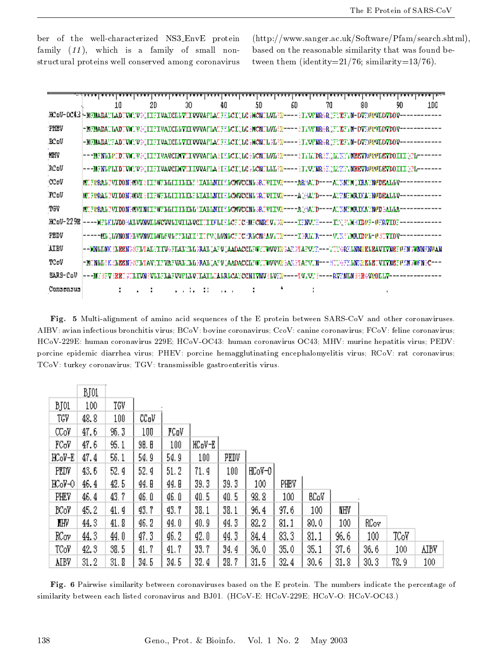ber of the well-characterized NS3\_EnvE protein family  $(11)$ , which is a family of small nonstructural proteins well conserved among coronavirus

(http://www.sanger.ac.uk/Software/Pfam/search.shtml), based on the reasonable similarity that was found between them (identity= $21/76$ ; similarity= $13/76$ ).

|              | 10                                                                                                                    | 20 | 30. | 40 | 50 | 60 | 70 | 90 | 90 | 1DG |
|--------------|-----------------------------------------------------------------------------------------------------------------------|----|-----|----|----|----|----|----|----|-----|
|              | .HOoV=OO43 }=MEMADAYLADTVHCV9(IIFIVAICELVYIVVVAPLATFELCI(LCH)CMILVLER===={IYVPNR4R}FYEFYN=OVYPPVDDV=D                 |    |     |    |    |    |    |    |    |     |
| <b>PHEV</b>  | =MENADALIADEVNEUVƏLIIFIVAICINYIIVVVARIAEFENCILIG ƏKSNINIEP====ELVENRƏR (FUEFIN-DYEPYDOYDOV=                           |    |     |    |    |    |    |    |    |     |
| .BC oV       | -MAMADANA ADI VICI V POLI PILVALCE LVILL VVVAR LATARI CI J LOC DICNIL PERP----RIVVRNIRGIR DENEAVI - DVMORVLDVDOV--    |    |     |    |    |    |    |    |    |     |
| 'NHV         | ---NYNLLPIDIVNIV&(IIFIVAVCIDVYLIVVVAFIA&IHLCI(LC&LCNILVL{P----&IYLIDR&H)LYHVYNNEEYRPPDEYDDIII}PL------                |    |     |    |    |    |    |    |    |     |
| IRC oV       | ---WENLPLIDEVMCVO(IIEEIVAVCEMVUIIVVAPLA)IELOI(LC)LCQELLLI)?P----}IYV:'NR\EC\L\!?YY/MEEVROPOLEVDOIII(OL-------         |    |     |    |    |    |    |    |    |     |
| <b>CCpV</b>  | MT FRRAL PVIDON HIVI SIIFMFILLII ILLE SIALIMII SLOWCONL SRIVIIVR----ARHATD----ATSMEN UIRATNPDEALLV-                   |    |     |    |    |    |    |    |    |     |
| <b>FC oV</b> | MUFRAAD VIDDN MWI EI IFWFAAI I I LATAALMI HAOWCONA SADVI I VIHAPD----A HAED-----AE HENDOUFA THODBALAV--               |    |     |    |    |    |    |    |    |     |
| TGV          | MUFPRALPVIDDNHMVINIIFWFLLIIILLLLLLLLLLLLLLLLLVCWCCNLSRFVIIVP−−−−AJHATD−−−−ATHMFNRIHAYNPDHALLLA                        |    |     |    |    |    |    |    |    |     |
| JBC oV-22 9B | ----)(FLKLVDOHALVVDVILLOCVVLTVTLLVCITTIKLEKLCFTCHUFCORTVVPP----IKVVCK----IKOKLHIDPF-PKRVTOF--                         |    |     |    |    |    |    |    |    |     |
| PEDV         | hhhh heyddinnon hewynyddolf yd yf beleith i'r y llwndof donnac oeddau y i'r hhhli'r hhhh y i'r horidpd-e soyiovhhhh   |    |     |    |    |    |    |    |    |     |
| <b>AIBV</b>  | --DONLENK ELEEN PSFLAARET TWEFFALET.LE PAAL LAF V LAADACCEFWETWVVID BAE PAAPVEE---VIEGREL MODELEAVTVMEE DEN SOMNEMDAN |    |     |    |    |    |    |    |    |     |
| TCpV         | HOTALLE KELBBAHSTLAVITTVATVALILLE PAALIAT VIAADACCLTOVIOVVVREANPLATVIO--HITVEYTLATVIVRELETVIVOBTPNOVATC---            |    |     |    |    |    |    |    |    |     |
| SARS-CoV     | h - -WY 377 (BBT STLIVN) (VLLFILA FVVPILVTLATI JLA RLCA) CONTVNV (LV)(R-H- - I V,/V) () -- - - RV)(NLN 30BC/VRDLIV-   |    |     |    |    |    |    |    |    |     |
| Consensus    |                                                                                                                       |    |     |    |    |    |    |    |    |     |

Fig. 5 Multi-alignment of amino acid sequences of the E protein between SARS-CoV and other coronaviruses. AIBV: avian infectious bronchitis virus; BCoV: bovine coronavirus; CcoV: canine coronavirus; FCoV: feline coronavirus; HCoV-229E: human coronavirus 229E; HCoV-OC43: human coronavirus OC43; MHV: murine hepatitis virus; PEDV: porcine epidemic diarrhea virus; PHEV: porcine hemagglutinating encephalomyelitis virus; RCoV: rat coronavirus; TCoV: turkey coronavirus; TGV: transmissible gastroenteritis virus.

|             | BJ01 |      |       |       |        |      |        |      |      |      |      |      |      |
|-------------|------|------|-------|-------|--------|------|--------|------|------|------|------|------|------|
| BJ01        | 100  | TGV  |       |       |        |      |        |      |      |      |      |      |      |
| TGV         | 48.8 | 100  | CCoV  |       |        |      |        |      |      |      |      |      |      |
| 000V        | 47.6 | 96.3 | 100   | FCoV  |        |      |        |      |      |      |      |      |      |
| FCoV        | 47.6 | 95.1 | 90. B | 100   | HCoV-E |      |        |      |      |      |      |      |      |
| $HCOV-E$    | 47.4 | 56.1 | 54.9  | 54.9  | 100    | PEDV |        |      |      |      |      |      |      |
| PEDV        | 43.6 | 52.9 | 52. 9 | 51.2  | 71.9   | 100  | HCoV-0 |      |      |      |      |      |      |
| $HCOV-O$    | 46.4 | 42.5 | 44. B | 44. B | 39.3   | 39.3 | 100    | PHEV |      |      |      |      |      |
| PHEV        | 46.4 | 43.7 | 46. O | 46. O | 40.5   | 40.5 | 98.8   | 100  | BCoV |      |      |      |      |
| <b>BCoV</b> | 45.2 | 41.9 | 43.7  | 43.7  | 38.1   | 38.1 | 96.4   | 97.6 | 100  | KHV  |      |      |      |
| ШV          | 44.3 | 41.8 | 46.2  | 44. O | 40.9   | 44.3 | 82.2   | 81.1 | 80.0 | 100  | RCoy |      |      |
| RCov        | 44.3 | 44.0 | 47.3  | 46.2  | 42.0   | 44.3 | 84.4   | 83.3 | 81.1 | 96.6 | 100  | TCoV |      |
| TCoV        | 42.3 | 38.5 | 41.7  | 41.7  | 33.7   | 34.4 | 36.0   | 35.0 | 35.1 | 37.6 | 36.6 | 100  | AIBV |
| AIBV        | 31.2 | 31.8 | 34.5  | 34.5  | 32.4   | 28.7 | 31.5   | 32.4 | 30.6 | 31.8 | 30.3 | 78.9 | 100  |

Fig. 6 Pairwise similarity between coronaviruses based on the E protein. The numbers indicate the percentage of similarity between each listed coronavirus and BJ01. (HCoV-E: HCoV-229E; HCoV-O: HCoV-OC43.)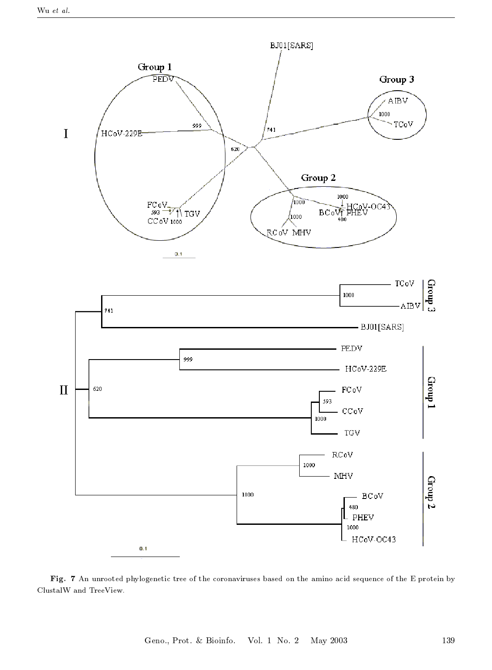

Fig. 7 An unrooted phylogenetic tree of the coronaviruses based on the amino acid sequence of the E protein by ClustalW and TreeView.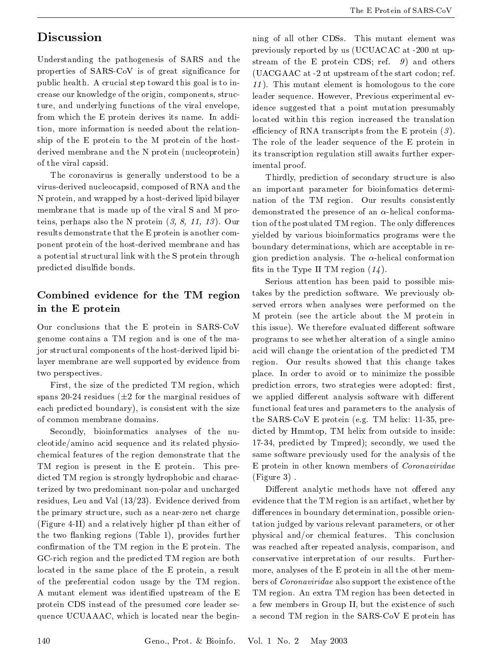## **Discussion**

Understanding the pathogenesis of SARS and the properties of SARS-CoV is of great significance for public health. A crucial step toward this goal is to increase our knowledge of the origin, components, structure, and underlying functions of the viral envelope, from which the E protein derives its name. In addition, more information is needed about the relationship of the E protein to the M protein of the hostderived membrane and the N protein (nucleoprotein) of the viral capsid.

The coronavirus is generally understood to be a virus-derived nucleocapsid, composed of RNA and the N protein, and wrapped by a host-derived lipid bilayer membrane that is made up of the viral S and M proteins, perhaps also the N protein  $(3, 8, 11, 13)$ . Our results demonstrate that the E protein is another component protein of the host-derived membrane and has a potential structural link with the S protein through predicted disulfide bonds.

### Combined evidence for the TM region in the E protein

Our conclusions that the E protein in SARS-CoV genome contains a TM region and is one of the major structural components of the host-derived lipid bilayer membrane are well supported by evidence from two perspectives.

First, the size of the predicted TM region, which spans 20-24 residues ( $\pm 2$  for the marginal residues of each predicted boundary), is consistent with the size of common membrane domains.

Secondly, bioinformatics analyses of the nucleotide/amino acid sequence and its related physiochemical features of the region demonstrate that the TM region is present in the E protein. This predicted TM region is strongly hydrophobic and characterized by two predominant non-polar and uncharged residues, Leu and Val  $(13/23)$ . Evidence derived from the primary structure, such as a near-zero net charge (Figure 4-II) and a relatively higher pI than either of the two flanking regions (Table 1), provides further confirmation of the TM region in the E protein. The GC-rich region and the predicted TM region are both located in the same place of the E protein, a result of the preferential codon usage by the TM region. A mutant element was identified upstream of the E protein CDS instead of the presumed core leader sequence UCUAAAC, which is located near the beginning of all other CDSs. This mutant element was previously reported by us (UCUACAC at -200 nt upstream of the E protein CDS; ref.  $9)$  and others (UACGAAC at -2 nt upstream of the start codon; ref. 11). This mutant element is homologous to the core leader sequence. However, Previous experimental evidence suggested that a point mutation presumably located within this region increased the translation efficiency of RNA transcripts from the E protein  $(3)$ . The role of the leader sequence of the E protein in its transcription regulation still awaits further experimental proof.

Thirdly, prediction of secondary structure is also an important parameter for bioinfomatics determination of the TM region. Our results consistently demonstrated the presence of an  $\alpha$ -helical conformation of the postulated TM region. The only differences yielded by various bioinformatics programs were the boundary determinations, which are acceptable in region prediction analysis. The  $\alpha$ -helical conformation fits in the Type II TM region  $(14)$ .

Serious attention has been paid to possible mistakes by the prediction software. We previously observed errors when analyses were performed on the M protein (see the article about the M protein in this issue). We therefore evaluated different software programs to see whether alteration of a single amino acid will change the orientation of the predicted TM region. Our results showed that this change takes place. In order to avoid or to minimize the possible prediction errors, two strategies were adopted: first, we applied different analysis software with different functional features and parameters to the analysis of the SARS-CoV E protein (e.g. TM helix: 11-35, predicted by Hmmtop, TM helix from outside to inside: 17-34, predicted by Tmpred); secondly, we used the same software previously used for the analysis of the E protein in other known members of Coronaviridae  $(Figure 3)$ .

Different analytic methods have not offered any evidence that the TM region is an artifact, whether by differences in boundary determination, possible orientation judged by various relevant parameters, or other physical and/or chemical features. This conclusion was reached after repeated analysis, comparison, and conservative interpretation of our results. Furthermore, analyses of the E protein in all the other members of *Coronaviridae* also support the existence of the TM region. An extra TM region has been detected in a few members in Group II, but the existence of such a second TM region in the SARS CoV E protein has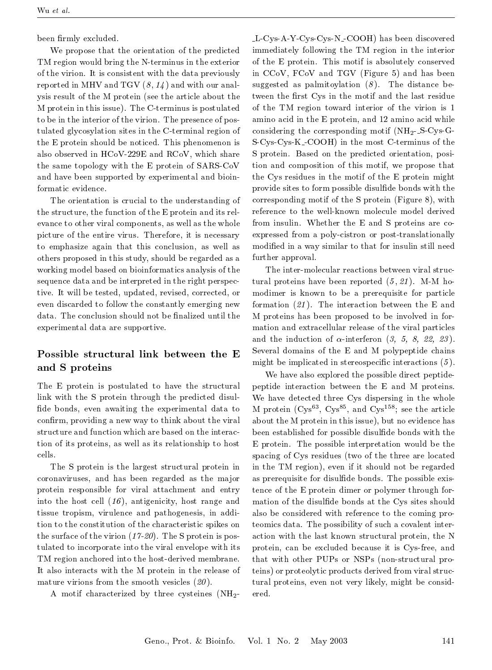been firmly excluded.

We propose that the orientation of the predicted TM region would bring the N-terminus in the exterior of the virion. It is consistent with the data previously reported in MHV and TGV  $(8, 14)$  and with our analysis result of the M protein (see the article about the M protein in this issue). The C-terminus is postulated to be in the interior of the virion. The presence of postulated glycosylation sites in the C-terminal region of the E protein should be noticed. This phenomenon is also observed in HCoV-229E and RCoV, which share the same topology with the E protein of SARS-CoV and have been supported by experimental and bioinformatic evidence.

The orientation is crucial to the understanding of the structure, the function of the E protein and its relevance to other viral components, as well as the whole picture of the entire virus. Therefore, it is necessary to emphasize again that this conclusion, as well as others proposed in this study, should be regarded as a working model based on bioinformatics analysis of the sequence data and be interpreted in the right perspective. It will be tested, updated, revised, corrected, or even discarded to follow the constantly emerging new data. The conclusion should not be finalized until the experimental data are supportive.

#### Possible structural link between the E and S proteins

The E protein is postulated to have the structural link with the S protein through the predicted disulfide bonds, even awaiting the experimental data to confirm, providing a new way to think about the viral structure and function which are based on the interaction of its proteins, as well as its relationship to host cells.

The S protein is the largest structural protein in coronaviruses, and has been regarded as the major protein responsible for viral attachment and entry into the host cell  $(16)$ , antigenicity, host range and tissue tropism, virulence and pathogenesis, in addition to the constitution of the characteristic spikes on the surface of the virion  $(17-20)$ . The S protein is postulated to incorporate into the viral envelope with its TM region anchored into the host-derived membrane. It also interacts with the M protein in the release of mature virions from the smooth vesicles  $(20)$ .

A motif characterized by three cysteines  $(NH<sub>2</sub>$ 

L-Cys-A-Y-Cys-Cys-N\_COOH) has been discovered immediately following the TM region in the interior of the E protein. This motif is absolutely conserved in CCoV, FCoV and TGV (Figure 5) and has been suggested as palmitoylation  $(8)$ . The distance between the first Cys in the motif and the last residue of the TM region toward interior of the virion is 1 amino acid in the E protein, and 12 amino acid while considering the corresponding motif  $(NH_2-S-Cys-G-$ S-Cys-Cys-K-COOH) in the most C-terminus of the S protein. Based on the predicted orientation, position and composition of this motif, we propose that the Cys residues in the motif of the E protein might provide sites to form possible disulfide bonds with the corresponding motif of the S protein (Figure 8), with reference to the well-known molecule model derived from insulin. Whether the E and S proteins are coexpressed from a poly-cistron or post-translationally modified in a way similar to that for insulin still need further approval.

The inter-molecular reactions between viral structural proteins have been reported  $(5, 21)$ . M-M homodimer is known to be a prerequisite for particle formation  $(21)$ . The interaction between the E and M proteins has been proposed to be involved in formation and extracellular release of the viral particles and the induction of  $\alpha$ -interferon (3, 5, 8, 22, 23). Several domains of the E and M polypeptide chains might be implicated in stereospecific interactions  $(5)$ .

We have also explored the possible direct peptidepeptide interaction between the E and M proteins. We have detected three Cys dispersing in the whole M protein  $(Cys^{63}, Cys^{85}, and Cys^{158};$  see the article about the M protein in this issue), but no evidence has been established for possible disulfide bonds with the E protein. The possible interpretation would be the spacing of Cys residues (two of the three are located in the TM region), even if it should not be regarded as prerequisite for disulfide bonds. The possible existence of the E protein dimer or polymer through formation of the disulfide bonds at the Cys sites should also be considered with reference to the coming proteomics data. The possibility of such a covalent interaction with the last known structural protein, the N protein, can be excluded because it is Cys-free, and that with other PUPs or NSPs (non-structural proteins) or proteolytic products derived from viral structural proteins, even not very likely, might be considered.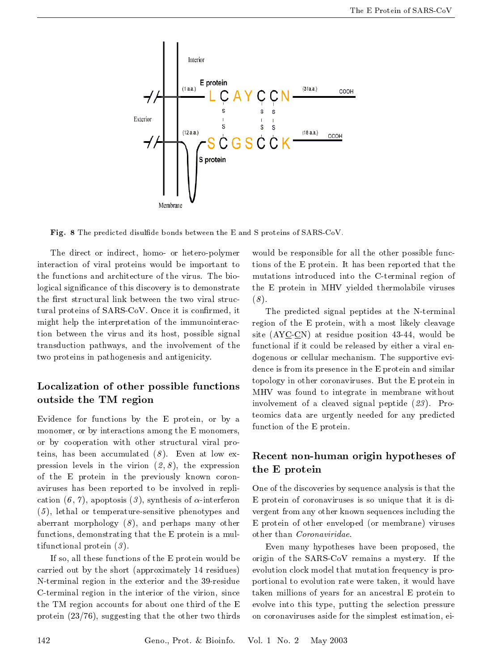

Fig. 8 The predicted disulfide bonds between the E and S proteins of SARS-CoV.

The direct or indirect, homo- or hetero-polymer interaction of viral proteins would be important to the functions and architecture of the virus. The biological significance of this discovery is to demonstrate the first structural link between the two viral structural proteins of SARS-CoV. Once it is confirmed, it might help the interpretation of the immunointeraction between the virus and its host, possible signal transduction pathways, and the involvement of the two proteins in pathogenesis and antigenicity.

#### Localization of other possible functions outside the TM region

Evidence for functions by the E protein, or by a monomer, or by interactions among the E monomers, or by cooperation with other structural viral proteins, has been accumulated  $(8)$ . Even at low expression levels in the virion  $(2, 8)$ , the expression of the E protein in the previously known coronaviruses has been reported to be involved in replication  $(6, 7)$ , apoptosis  $(3)$ , synthesis of  $\alpha$ -interferon  $(5)$ , lethal or temperature-sensitive phenotypes and aberrant morphology  $(8)$ , and perhaps many other functions, demonstrating that the E protein is a multifunctional protein  $(3)$ .

If so, all these functions of the E protein would be carried out by the short (approximately 14 residues) N-terminal region in the exterior and the 39-residue C-terminal region in the interior of the virion, since the TM region accounts for about one third of the E protein  $(23/76)$ , suggesting that the other two thirds

would be responsible for all the other possible functions of the E protein. It has been reported that the mutations introduced into the C-terminal region of the E protein in MHV yielded thermolabile viruses  $(8).$ 

The predicted signal peptides at the N-terminal region of the E protein, with a most likely cleavage site  $(AYC CN)$  at residue position 43-44, would be functional if it could be released by either a viral endogenous or cellular mechanism. The supportive evidence is from its presence in the E protein and similar topology in other coronaviruses. But the E protein in MHV was found to integrate in membrane without involvement of a cleaved signal peptide  $(23)$ . Proteomics data are urgently needed for any predicted function of the E protein.

#### Recent non-human origin hypotheses of the E protein

One of the discoveries by sequence analysis is that the E protein of coronaviruses is so unique that it is divergent from any other known sequences including the E protein of other enveloped (or membrane) viruses other than Coronaviridae.

Even many hypotheses have been proposed, the origin of the SARS-CoV remains a mystery. If the evolution clock model that mutation frequency is proportional to evolution rate were taken, it would have taken millions of years for an ancestral E protein to evolve into this type, putting the selection pressure on coronaviruses aside for the simplest estimation, ei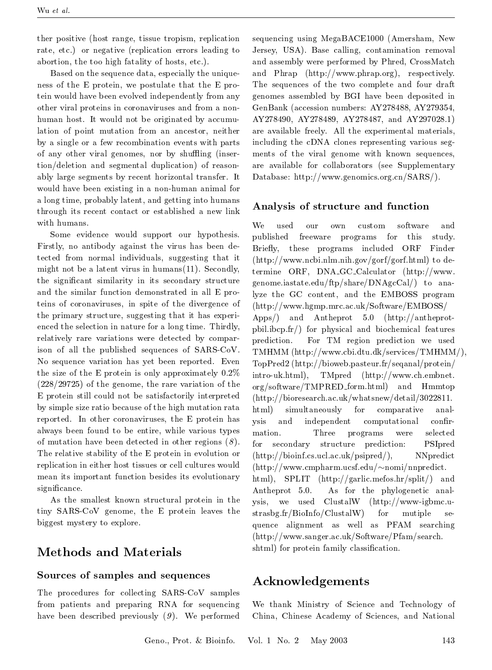ther positive (host range, tissue tropism, replication rate, etc.) or negative (replication errors leading to abortion, the too high fatality of hosts, etc.).

Based on the sequence data, especially the uniqueness of the E protein, we postulate that the E protein would have been evolved independently from any other viral proteins in coronaviruses and from a nonhuman host. It would not be originated by accumulation of point mutation from an ancestor, neither by a single or a few recombination events with parts of any other viral genomes, nor by shuffling (insertion/deletion and segmental duplication) of reasonably large segments by recent horizontal transfer. It would have been existing in a non-human animal for a long time, probably latent, and getting into humans through its recent contact or established a new link with humans.

Some evidence would support our hypothesis. Firstly, no antibody against the virus has been detected from normal individuals, suggesting that it might not be a latent virus in humans $(11)$ . Secondly, the significant similarity in its secondary structure and the similar function demonstrated in all E proteins of coronaviruses, in spite of the divergence of the primary structure, suggesting that it has experienced the selection in nature for a long time. Thirdly, relatively rare variations were detected by comparison of all the published sequences of SARS-CoV. No sequence variation has yet been reported. Even the size of the E protein is only approximately  $0.2\%$  $(228/29725)$  of the genome, the rare variation of the E protein still could not be satisfactorily interpreted by simple size ratio because of the high mutation rata reported. In other coronaviruses, the E protein has always been found to be entire, while various types of mutation have been detected in other regions  $(8)$ . The relative stability of the E protein in evolution or replication in either host tissues or cell cultures would mean its important function besides its evolutionary significance.

As the smallest known structural protein in the tiny SARS-CoV genome, the E protein leaves the biggest mystery to explore.

### **Methods and Materials**

#### Sources of samples and sequences

The procedures for collecting SARS-CoV samples from patients and preparing RNA for sequencing have been described previously  $(9)$ . We performed

sequencing using MegaBACE1000 (Amersham, New Jersey, USA). Base calling, contamination removal and assembly were performed by Phred, CrossMatch and Phrap (http://www.phrap.org), respectively. The sequences of the two complete and four draft genomes assembled by BGI have been deposited in GenBank (accession numbers: AY278488, AY279354, AY278490, AY278489, AY278487, and AY297028.1) are available freely. All the experimental materials, including the cDNA clones representing various segments of the viral genome with known sequences, are available for collaborators (see Supplementary Database: http://www.genomics.org.cn/SARS/).

#### Analysis of structure and function

We used our own custom software  $and$ published freeware programs for this study. Briefly, these programs included  $ORF$ Finder (http://www.ncbi.nlm.nih.gov/gorf/gorf.html) to determine ORF,  $DNA\_GC\_Calculator$  (http://www. genome.iastate.edu/ftp/share/DNAgcCal/) to analyze the GC content, and the EMBOSS program  $(\text{http://www.hgmp.mrc.ac.uk/Software/EMBOSS/})$ Apps/) and Antheprot 5.0 (http://antheprotpbil.ibcp.fr/) for physical and biochemical features prediction. For TM region prediction we used TMHMM (http://www.cbi.dtu.dk/services/TMHMM/), TopPred2 (http://bioweb.pasteur.fr/seqanal/protein/ intro-uk.html), TMpred (http://www.ch.embnet. org/software/TMPRED\_form.html) and Hmmtop  $(\text{http://bioresearch.ac.uk/whatsnew/detail/3022811.}$ html) simultaneously for comparative analindependent computational ysis and confirmation. Three programs were selected PSIpred for secondary structure prediction:  $(\text{http://bioinf.cs.ucl.ac.uk/psipred/}),$ NNpredict  $(\text{http://www.cmpharm.ucsf.edu/~nomi/nnpredict.})$ html), SPLIT (http://garlic.mefos.hr/split/) and As for the phylogenetic anal-Antheprot 5.0. ysis, we used ClustalW (http://www-igbmc.ustrasbg.fr/BioInfo/ClustalW) for mutiple  $\rm se$ quence alignment as well as PFAM searching  $(\text{http://www.sanger.ac.uk/Software/Pfam/search.}$ shtml) for protein family classification.

### Acknowledgements

We thank Ministry of Science and Technology of China, Chinese Academy of Sciences, and National